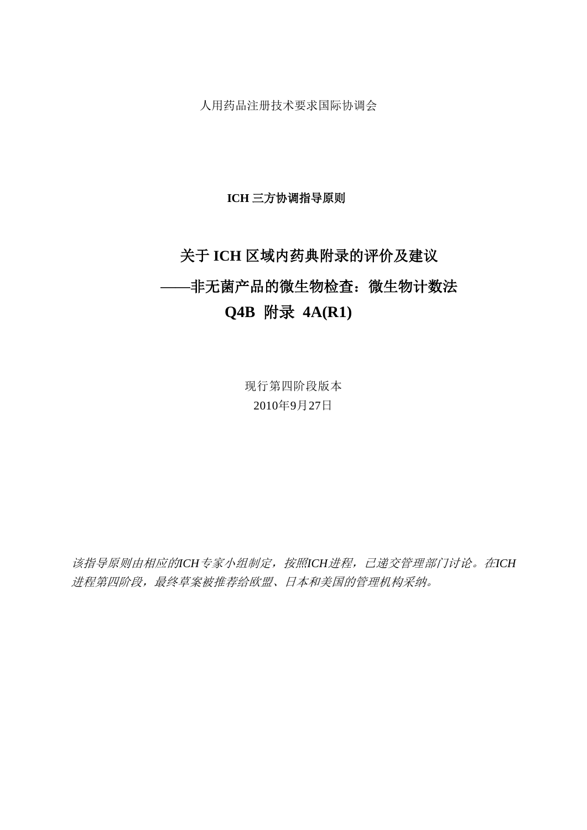人用药品注册技术要求国际协调会

### **ICH** 三方协调指导原则

# 关于 **ICH** 区域内药典附录的评价及建议

# **——**非无菌产品的微生物检查:微生物计数法

# **Q4B** 附录 **4A(R1)**

现行第四阶段版本 2010年9月27日

该指导原则由相应的*ICH*专家小组制定,按照*ICH*进程,已递交管理部门讨论。在*ICH* 进程第四阶段,最终草案被推荐给欧盟、日本和美国的管理机构采纳。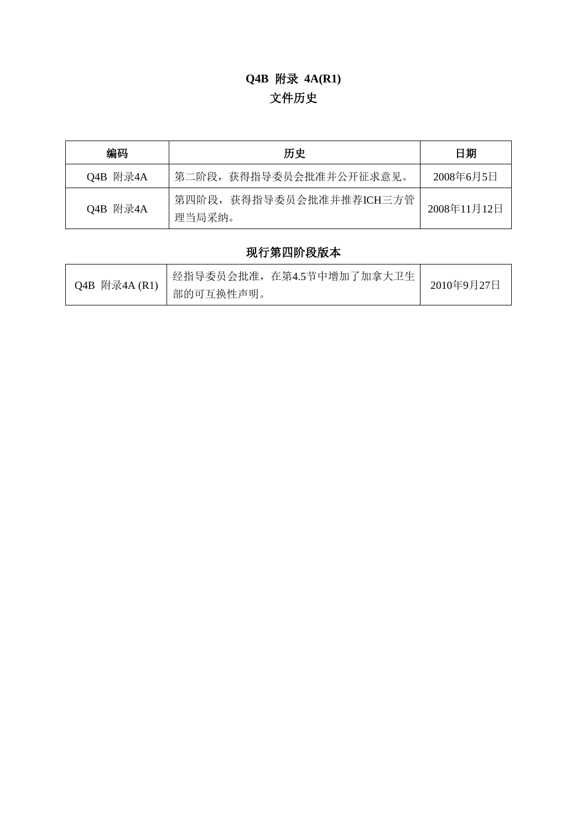# **Q4B** 附录 **4A(R1)** 文件历史

| 编码       | 历史                                 |             |
|----------|------------------------------------|-------------|
| Q4B 附录4A | 第二阶段, 获得指导委员会批准并公开征求意见。            | 2008年6月5日   |
| Q4B 附录4A | 第四阶段, 获得指导委员会批准并推荐ICH三方管<br>理当局采纳。 | 2008年11月12日 |

# 现行第四阶段版本

| Q4B 附录4A (R1) | 经指导委员会批准,在第4.5节中增加了加拿大卫生 | 2010年9月27日 |
|---------------|--------------------------|------------|
|               | 部的可互换性声明。                |            |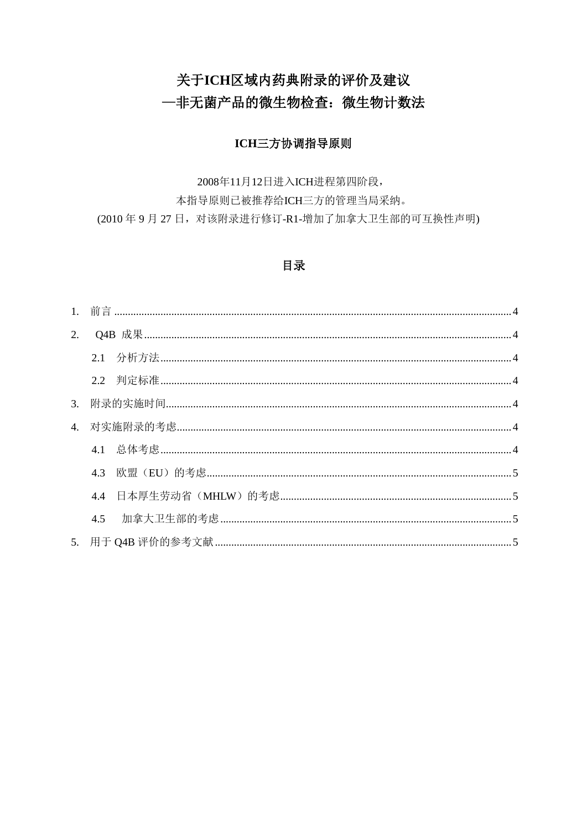# 关于ICH区域内药典附录的评价及建议 一非无菌产品的微生物检查: 微生物计数法

### ICH三方协调指导原则

2008年11月12日进入ICH进程第四阶段,

本指导原则已被推荐给ICH三方的管理当局采纳。 (2010年9月27日, 对该附录进行修订-R1-增加了加拿大卫生部的可互换性声明)

### 目录

| 2. |     |  |  |
|----|-----|--|--|
|    |     |  |  |
|    |     |  |  |
|    |     |  |  |
|    |     |  |  |
|    |     |  |  |
|    |     |  |  |
|    |     |  |  |
|    | 4.5 |  |  |
|    |     |  |  |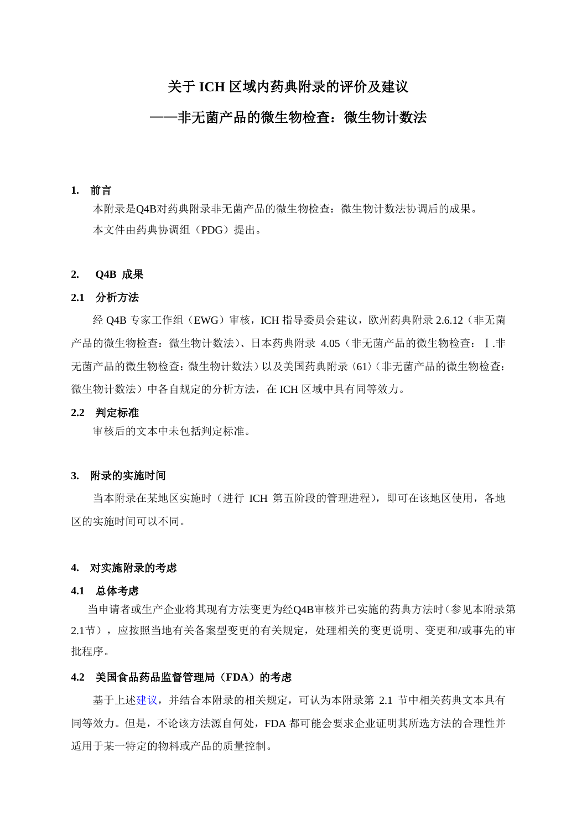## 关于 **ICH** 区域内药典附录的评价及建议

## ——非无菌产品的微生物检查:微生物计数法

#### <span id="page-3-0"></span>**1.** 前言

本附录是Q4B对药典附录非无菌产品的微生物检查:微生物计数法协调后的成果。 本文件由药典协调组(PDG)提出。

#### <span id="page-3-1"></span>**2. Q4B** 成果

#### <span id="page-3-2"></span>**2.1** 分析方法

经 Q4B 专家工作组(EWG)审核,ICH 指导委员会建议,欧州药典附录 2.6.12(非无菌 产品的微生物检查:微生物计数法)、日本药典附录 4.05(非无菌产品的微生物检查:Ⅰ.非 无菌产品的微生物检查:微生物计数法)以及美国药典附录〈61〉(非无菌产品的微生物检查: 微生物计数法)中各自规定的分析方法,在 ICH 区域中具有同等效力。

#### <span id="page-3-3"></span>**2.2** 判定标准

审核后的文本中未包括判定标准。

#### <span id="page-3-4"></span>**3.** 附录的实施时间

当本附录在某地区实施时(进行 ICH 第五阶段的管理进程),即可在该地区使用,各地 区的实施时间可以不同。

#### <span id="page-3-5"></span>**4.** 对实施附录的考虑

#### <span id="page-3-6"></span>**4.1** 总体考虑

当申请者或生产企业将其现有方法变更为经Q4B审核并已实施的药典方法时(参见本附录第 2.1节),应按照当地有关备案型变更的有关规定,处理相关的变更说明、变更和/或事先的审 批程序。

#### **4.2** 美国食品药品监督管理局(**FDA**)的考虑

基于上述建议,并结合本附录的相关规定,可认为本附录第 2.1 节中相关药典文本具有 同等效力。但是,不论该方法源自何处,FDA 都可能会要求企业证明其所选方法的合理性并 适用于某一特定的物料或产品的质量控制。